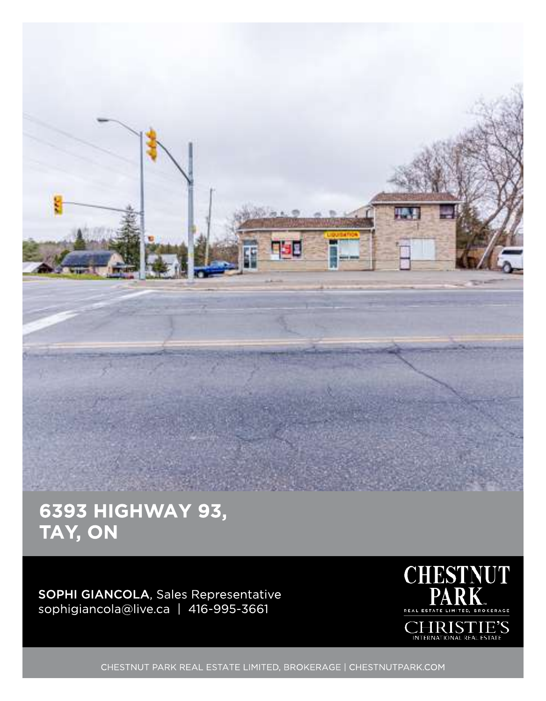

## 6393 HIGHWAY 93, TAY, ON

SOPHI GIANCOLA, Sales Representative sophigiancola@live.ca | 416-995-3661



CHESTNUT PARK REAL ESTATE LIMITED, BROKERAGE | CHESTNUTPARK.COM